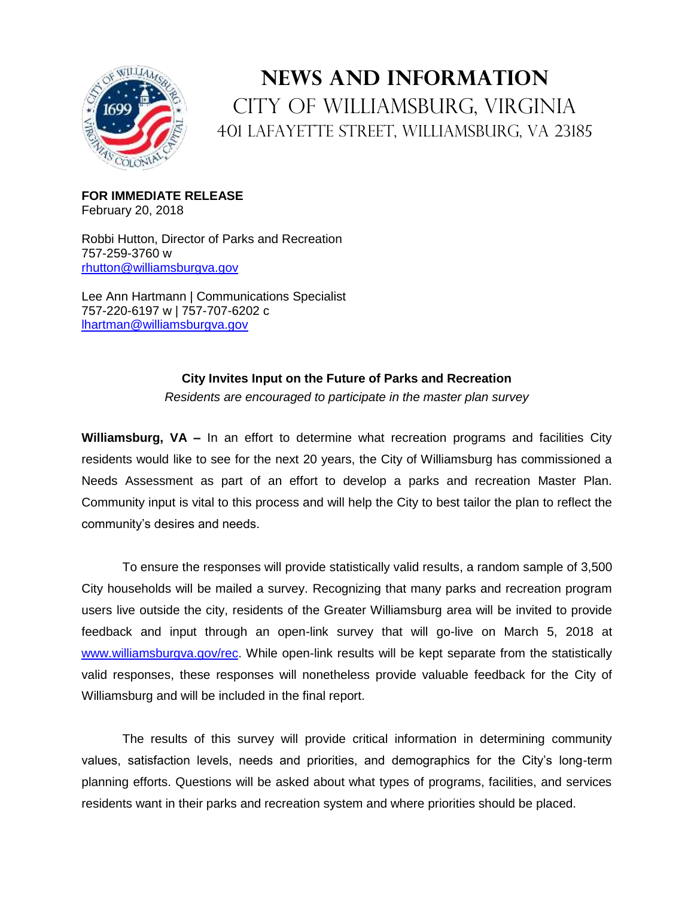

## **News and Information** City of Williamsburg, Virginia 401 Lafayette Street, Williamsburg, VA 23185

**FOR IMMEDIATE RELEASE** February 20, 2018

Robbi Hutton, Director of Parks and Recreation 757-259-3760 w [rhutton@williamsburgva.gov](mailto:rhutton@williamsburgva.gov)

Lee Ann Hartmann | Communications Specialist 757-220-6197 w | 757-707-6202 c [lhartman@williamsburgva.gov](mailto:lhartman@williamsburgva.gov)

## **City Invites Input on the Future of Parks and Recreation**

*Residents are encouraged to participate in the master plan survey*

**Williamsburg, VA –** In an effort to determine what recreation programs and facilities City residents would like to see for the next 20 years, the City of Williamsburg has commissioned a Needs Assessment as part of an effort to develop a parks and recreation Master Plan. Community input is vital to this process and will help the City to best tailor the plan to reflect the community's desires and needs.

To ensure the responses will provide statistically valid results, a random sample of 3,500 City households will be mailed a survey. Recognizing that many parks and recreation program users live outside the city, residents of the Greater Williamsburg area will be invited to provide feedback and input through an open-link survey that will go-live on March 5, 2018 at [www.williamsburgva.gov/rec.](http://www.williamsburgva.gov/rec) While open-link results will be kept separate from the statistically valid responses, these responses will nonetheless provide valuable feedback for the City of Williamsburg and will be included in the final report.

The results of this survey will provide critical information in determining community values, satisfaction levels, needs and priorities, and demographics for the City's long-term planning efforts. Questions will be asked about what types of programs, facilities, and services residents want in their parks and recreation system and where priorities should be placed.